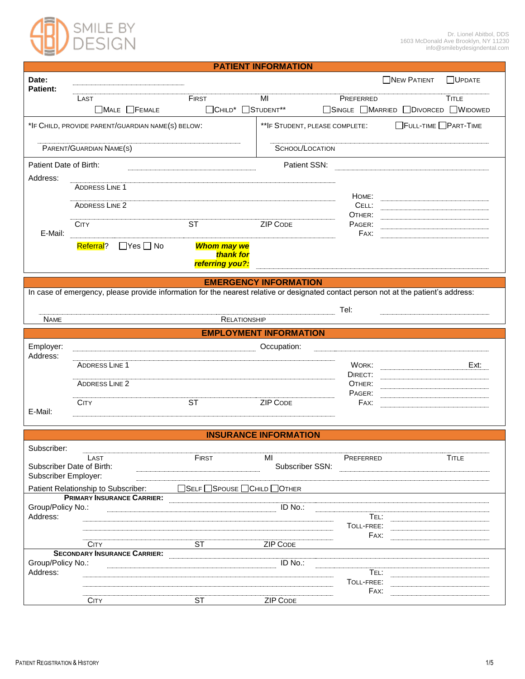

| <b>PATIENT INFORMATION</b>                                                                              |                                                                                                                                      |                                                    |                               |                                     |               |  |  |
|---------------------------------------------------------------------------------------------------------|--------------------------------------------------------------------------------------------------------------------------------------|----------------------------------------------------|-------------------------------|-------------------------------------|---------------|--|--|
| Date:<br><b>Patient:</b>                                                                                |                                                                                                                                      |                                                    |                               | <b>NEW PATIENT</b>                  | $\Box$ UPDATE |  |  |
|                                                                                                         | LAST                                                                                                                                 | <b>FIRST</b>                                       | MI                            | PREFERRED                           | <b>TITLE</b>  |  |  |
|                                                                                                         | $\Box$ MALE $\Box$ FEMALE                                                                                                            | □CHILD <sup>*</sup> □STUDENT <sup>**</sup>         |                               | □SINGLE □MARRIED □DIVORCED □WIDOWED |               |  |  |
|                                                                                                         | ** IF STUDENT, PLEASE COMPLETE:<br>FULL-TIME PART-TIME<br>*IF CHILD, PROVIDE PARENT/GUARDIAN NAME(S) BELOW:                          |                                                    |                               |                                     |               |  |  |
| PARENT/GUARDIAN NAME(S)                                                                                 |                                                                                                                                      |                                                    | SCHOOL/LOCATION               |                                     |               |  |  |
| Patient Date of Birth:<br>Address:                                                                      |                                                                                                                                      |                                                    | Patient SSN:                  |                                     |               |  |  |
|                                                                                                         | <b>ADDRESS LINE 1</b>                                                                                                                |                                                    |                               | Номе:                               |               |  |  |
|                                                                                                         | <b>ADDRESS LINE 2</b>                                                                                                                |                                                    |                               | CELL:<br>OTHER:                     |               |  |  |
| E-Mail:                                                                                                 | <b>CITY</b>                                                                                                                          | $\overline{\text{ST}}$                             | <b>ZIP CODE</b>               | PAGER:<br>FAX:                      |               |  |  |
|                                                                                                         | $\Box$ Yes $\Box$ No<br>Referral?                                                                                                    | <b>Whom may we</b><br>thank for<br>referring you?: |                               |                                     |               |  |  |
| <b>EMERGENCY INFORMATION</b>                                                                            |                                                                                                                                      |                                                    |                               |                                     |               |  |  |
|                                                                                                         | In case of emergency, please provide information for the nearest relative or designated contact person not at the patient's address: |                                                    |                               |                                     |               |  |  |
|                                                                                                         |                                                                                                                                      |                                                    |                               | Tel:                                |               |  |  |
| <b>NAME</b>                                                                                             |                                                                                                                                      | <b>RELATIONSHIP</b>                                |                               |                                     |               |  |  |
|                                                                                                         |                                                                                                                                      |                                                    | <b>EMPLOYMENT INFORMATION</b> |                                     |               |  |  |
| Employer:                                                                                               |                                                                                                                                      |                                                    | Occupation:                   |                                     |               |  |  |
| Address:                                                                                                |                                                                                                                                      |                                                    |                               |                                     |               |  |  |
|                                                                                                         | <b>ADDRESS LINE 1</b>                                                                                                                |                                                    |                               | WORK:                               | Ext:          |  |  |
|                                                                                                         | <b>ADDRESS LINE 2</b>                                                                                                                |                                                    |                               | DIRECT:<br>OTHER:                   |               |  |  |
|                                                                                                         |                                                                                                                                      |                                                    |                               | PAGER:                              |               |  |  |
|                                                                                                         | <b>CITY</b>                                                                                                                          | <b>ST</b>                                          | <b>ZIP CODE</b>               | FAX:                                |               |  |  |
| E-Mail:                                                                                                 |                                                                                                                                      |                                                    |                               |                                     |               |  |  |
|                                                                                                         |                                                                                                                                      |                                                    | <b>INSURANCE INFORMATION</b>  |                                     |               |  |  |
| Subscriber:                                                                                             |                                                                                                                                      |                                                    |                               |                                     |               |  |  |
|                                                                                                         | LAST                                                                                                                                 | FIRST                                              | MI                            | PREFERRED                           | <b>TITLE</b>  |  |  |
|                                                                                                         | Subscriber Date of Birth:                                                                                                            |                                                    | Subscriber SSN:               |                                     |               |  |  |
| Subscriber Employer:                                                                                    |                                                                                                                                      |                                                    |                               |                                     |               |  |  |
| □SELF □SPOUSE □CHILD □OTHER<br>Patient Relationship to Subscriber:<br><b>PRIMARY INSURANCE CARRIER:</b> |                                                                                                                                      |                                                    |                               |                                     |               |  |  |
| Group/Policy No.:                                                                                       |                                                                                                                                      |                                                    | ID No.:                       |                                     |               |  |  |
| Address:                                                                                                |                                                                                                                                      |                                                    |                               | TEL:                                |               |  |  |
|                                                                                                         |                                                                                                                                      |                                                    |                               | TOLL-FREE:                          |               |  |  |
|                                                                                                         | <b>CITY</b>                                                                                                                          | <b>ST</b>                                          | <b>ZIP CODE</b>               | FAX:                                |               |  |  |
|                                                                                                         | <b>SECONDARY INSURANCE CARRIER:</b>                                                                                                  |                                                    |                               |                                     |               |  |  |
| Group/Policy No.:                                                                                       |                                                                                                                                      |                                                    | ID No.:                       |                                     |               |  |  |
| Address:                                                                                                |                                                                                                                                      |                                                    |                               | TEL:<br>TOLL-FREE:                  |               |  |  |
|                                                                                                         |                                                                                                                                      |                                                    |                               | FAX:                                |               |  |  |
|                                                                                                         | <b>CITY</b>                                                                                                                          | ST                                                 | <b>ZIP CODE</b>               |                                     |               |  |  |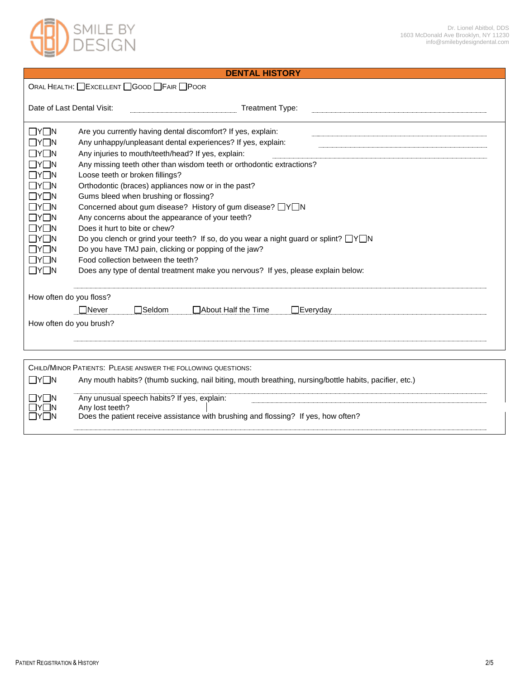



# **DENTAL HISTORY**

ORAL HEALTH: **EXCELLENT** GOOD FAIR POOR

| Date of Last Dental Visit:                                                                                                                                                                                                                                                            |                                                                                                                                                                                                                                                                                                                                                                                                                                                                                                                                                                                                                                                                                                                                                                                                                                       |                                             | <b>Treatment Type:</b>                                                             |                 |
|---------------------------------------------------------------------------------------------------------------------------------------------------------------------------------------------------------------------------------------------------------------------------------------|---------------------------------------------------------------------------------------------------------------------------------------------------------------------------------------------------------------------------------------------------------------------------------------------------------------------------------------------------------------------------------------------------------------------------------------------------------------------------------------------------------------------------------------------------------------------------------------------------------------------------------------------------------------------------------------------------------------------------------------------------------------------------------------------------------------------------------------|---------------------------------------------|------------------------------------------------------------------------------------|-----------------|
| $\Box Y \Box N$<br>tye in<br>$\Box$ y $\Box$ n<br>$\Box$ Y $\Box$ N<br>$\Box$ y $\Box$ n<br>$\Box$ y $\Box$ n<br>$\Box$ y $\Box$ n<br>$\Box$ y $\Box$ n<br>$\Box$ y $\Box$ n<br>$\Box$ y $\Box$ n<br>$\Box$ y $\Box$ n<br>$\Box$ y $\Box$ n<br>$\Box$ y $\Box$ n<br>$\Box$ y $\Box$ n | Are you currently having dental discomfort? If yes, explain:<br>Any unhappy/unpleasant dental experiences? If yes, explain:<br>Any injuries to mouth/teeth/head? If yes, explain:<br>Any missing teeth other than wisdom teeth or orthodontic extractions?<br>Loose teeth or broken fillings?<br>Orthodontic (braces) appliances now or in the past?<br>Gums bleed when brushing or flossing?<br>Concerned about gum disease? History of gum disease? □Y□N<br>Any concerns about the appearance of your teeth?<br>Does it hurt to bite or chew?<br>Do you clench or grind your teeth? If so, do you wear a night guard or splint? $\Box Y \Box N$<br>Do you have TMJ pain, clicking or popping of the jaw?<br>Food collection between the teeth?<br>Does any type of dental treatment make you nervous? If yes, please explain below: |                                             |                                                                                    |                 |
| How often do you floss?                                                                                                                                                                                                                                                               |                                                                                                                                                                                                                                                                                                                                                                                                                                                                                                                                                                                                                                                                                                                                                                                                                                       |                                             |                                                                                    |                 |
|                                                                                                                                                                                                                                                                                       | <b>□</b> Never                                                                                                                                                                                                                                                                                                                                                                                                                                                                                                                                                                                                                                                                                                                                                                                                                        | $\Box$ Seldom                               | □ About Half the Time                                                              | $\Box$ Everyday |
| How often do you brush?                                                                                                                                                                                                                                                               |                                                                                                                                                                                                                                                                                                                                                                                                                                                                                                                                                                                                                                                                                                                                                                                                                                       |                                             |                                                                                    |                 |
|                                                                                                                                                                                                                                                                                       |                                                                                                                                                                                                                                                                                                                                                                                                                                                                                                                                                                                                                                                                                                                                                                                                                                       |                                             |                                                                                    |                 |
|                                                                                                                                                                                                                                                                                       |                                                                                                                                                                                                                                                                                                                                                                                                                                                                                                                                                                                                                                                                                                                                                                                                                                       |                                             |                                                                                    |                 |
|                                                                                                                                                                                                                                                                                       |                                                                                                                                                                                                                                                                                                                                                                                                                                                                                                                                                                                                                                                                                                                                                                                                                                       |                                             | CHILD/MINOR PATIENTS: PLEASE ANSWER THE FOLLOWING QUESTIONS:                       |                 |
| IYI IN                                                                                                                                                                                                                                                                                | Any mouth habits? (thumb sucking, nail biting, mouth breathing, nursing/bottle habits, pacifier, etc.)                                                                                                                                                                                                                                                                                                                                                                                                                                                                                                                                                                                                                                                                                                                                |                                             |                                                                                    |                 |
| IYI IN                                                                                                                                                                                                                                                                                |                                                                                                                                                                                                                                                                                                                                                                                                                                                                                                                                                                                                                                                                                                                                                                                                                                       | Any unusual speech habits? If yes, explain: |                                                                                    |                 |
| IYI IN<br>IYI IN                                                                                                                                                                                                                                                                      | Any lost teeth?                                                                                                                                                                                                                                                                                                                                                                                                                                                                                                                                                                                                                                                                                                                                                                                                                       |                                             | Does the patient receive assistance with brushing and flossing? If yes, how often? |                 |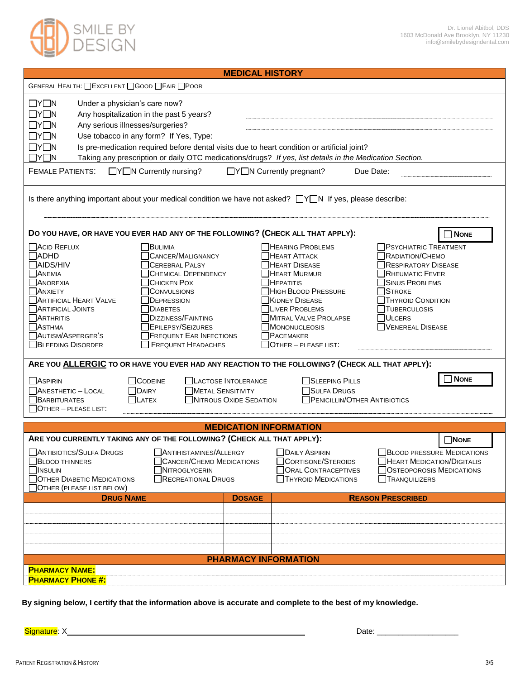

| <b>MEDICAL HISTORY</b>                                                                                                                                                                                                                                                                                                                                                                                                                                                                                                                                                                                              |                                                                                                                                                                                                                                                                                                                                                                                                                                                                                                         |  |  |  |  |  |  |
|---------------------------------------------------------------------------------------------------------------------------------------------------------------------------------------------------------------------------------------------------------------------------------------------------------------------------------------------------------------------------------------------------------------------------------------------------------------------------------------------------------------------------------------------------------------------------------------------------------------------|---------------------------------------------------------------------------------------------------------------------------------------------------------------------------------------------------------------------------------------------------------------------------------------------------------------------------------------------------------------------------------------------------------------------------------------------------------------------------------------------------------|--|--|--|--|--|--|
| GENERAL HEALTH: CEXCELLENT CGOOD CFAIR CPOOR                                                                                                                                                                                                                                                                                                                                                                                                                                                                                                                                                                        |                                                                                                                                                                                                                                                                                                                                                                                                                                                                                                         |  |  |  |  |  |  |
| $\Box Y \Box N$<br>Under a physician's care now?<br>$\Box Y \Box N$<br>Any hospitalization in the past 5 years?<br>$\Box Y \Box N$<br>Any serious illnesses/surgeries?<br>$\Box Y \Box N$<br>Use tobacco in any form? If Yes, Type:<br>$\Box Y \Box N$<br>Is pre-medication required before dental visits due to heart condition or artificial joint?<br>$\Box Y \Box N$<br>Taking any prescription or daily OTC medications/drugs? If yes, list details in the Medication Section.<br><b>FEMALE PATIENTS:</b><br>$\Box Y \Box N$ Currently nursing?<br>□Y□N Currently pregnant?<br>Due Date:                       |                                                                                                                                                                                                                                                                                                                                                                                                                                                                                                         |  |  |  |  |  |  |
| Is there anything important about your medical condition we have not asked? $\Box Y \Box N$ If yes, please describe:                                                                                                                                                                                                                                                                                                                                                                                                                                                                                                |                                                                                                                                                                                                                                                                                                                                                                                                                                                                                                         |  |  |  |  |  |  |
| DO YOU HAVE, OR HAVE YOU EVER HAD ANY OF THE FOLLOWING? (CHECK ALL THAT APPLY):<br>$\Box$ ACID REFLUX<br>BULIMIA<br>$\Box$ ADHD<br>CANCER/MALIGNANCY<br>$\Box$ AIDS/HIV<br><b>CEREBRAL PALSY</b><br><b>ANEMIA</b><br><b>CHEMICAL DEPENDENCY</b><br>ANOREXIA<br>CHICKEN POX<br><b>ANXIETY</b><br>CONVULSIONS<br><b>ARTIFICIAL HEART VALVE</b><br>DEPRESSION<br><b>NARTIFICIAL JOINTS</b><br><b>DIABETES</b><br>$\Box$ Arthritis<br><b>DIZZINESS/FAINTING</b><br><b>NASTHMA</b><br><b>TEPILEPSY/SEIZURES</b><br>AUTISM/ASPERGER'S<br><b>FREQUENT EAR INFECTIONS</b><br><b>BLEEDING DISORDER</b><br>FREQUENT HEADACHES | $\Box$ None<br><b>HEARING PROBLEMS</b><br><b>PSYCHIATRIC TREATMENT</b><br>RADIATION/CHEMO<br><b>HEART ATTACK</b><br>HEART DISEASE<br>RESPIRATORY DISEASE<br>HEART MURMUR<br><b>RHEUMATIC FEVER</b><br>$\exists$ HEPATITIS<br>SINUS PROBLEMS<br>HIGH BLOOD PRESSURE<br><b>STROKE</b><br>KIDNEY DISEASE<br><b>THYROID CONDITION</b><br><b>TLIVER PROBLEMS</b><br>TUBERCULOSIS<br>MITRAL VALVE PROLAPSE<br><b>JULCERS</b><br>MONONUCLEOSIS<br>VENEREAL DISEASE<br><b>PACEMAKER</b><br>OTHER - PLEASE LIST: |  |  |  |  |  |  |
| ARE YOU ALLERGIC TO OR HAVE YOU EVER HAD ANY REACTION TO THE FOLLOWING? (CHECK ALL THAT APPLY):                                                                                                                                                                                                                                                                                                                                                                                                                                                                                                                     |                                                                                                                                                                                                                                                                                                                                                                                                                                                                                                         |  |  |  |  |  |  |
| $\Box$ Aspirin<br><b>CODEINE</b><br><b>LACTOSE INTOLERANCE</b><br>$\Box$ ANESTHETIC - LOCAL<br>$\Box$ DAIRY<br>$\Box$ METAL SENSITIVITY<br>$\Box$ <b>BARBITURATES</b><br>NITROUS OXIDE SEDATION<br>$\Box$ LATEX<br>OTHER - PLEASE LIST:                                                                                                                                                                                                                                                                                                                                                                             | <b>NONE</b><br>SLEEPING PILLS<br>SULFA DRUGS<br>PENICILLIN/OTHER ANTIBIOTICS                                                                                                                                                                                                                                                                                                                                                                                                                            |  |  |  |  |  |  |
| <b>MEDICATION INFORMATION</b>                                                                                                                                                                                                                                                                                                                                                                                                                                                                                                                                                                                       |                                                                                                                                                                                                                                                                                                                                                                                                                                                                                                         |  |  |  |  |  |  |
| ARE YOU CURRENTLY TAKING ANY OF THE FOLLOWING? (CHECK ALL THAT APPLY):<br>ANTIBIOTICS/SULFA DRUGS<br>ANTIHISTAMINES/ALLERGY<br>CANCER/CHEMO MEDICATIONS<br><b>BLOOD THINNERS</b><br><b>NSULIN</b><br>NITROGLYCERIN<br>OTHER DIABETIC MEDICATIONS<br>RECREATIONAL DRUGS<br>OTHER (PLEASE LIST BELOW)                                                                                                                                                                                                                                                                                                                 | <b>NONE</b><br><b>DAILY ASPIRIN</b><br><b>BLOOD PRESSURE MEDICATIONS</b><br>CORTISONE/STEROIDS<br><b>HEART MEDICATION/DIGITALIS</b><br><b>ORAL CONTRACEPTIVES</b><br><b>OSTEOPOROSIS MEDICATIONS</b><br>TRANQUILIZERS<br><b>THYROID MEDICATIONS</b>                                                                                                                                                                                                                                                     |  |  |  |  |  |  |
| <b>DRUG NAME</b><br><b>DOSAGE</b>                                                                                                                                                                                                                                                                                                                                                                                                                                                                                                                                                                                   | <b>REASON PRESCRIBED</b>                                                                                                                                                                                                                                                                                                                                                                                                                                                                                |  |  |  |  |  |  |
|                                                                                                                                                                                                                                                                                                                                                                                                                                                                                                                                                                                                                     |                                                                                                                                                                                                                                                                                                                                                                                                                                                                                                         |  |  |  |  |  |  |
| <b>PHARMACY INFORMATION</b>                                                                                                                                                                                                                                                                                                                                                                                                                                                                                                                                                                                         |                                                                                                                                                                                                                                                                                                                                                                                                                                                                                                         |  |  |  |  |  |  |
| <b>PHARMACY NAME:</b><br><b>PHARMACY PHONE #:</b>                                                                                                                                                                                                                                                                                                                                                                                                                                                                                                                                                                   |                                                                                                                                                                                                                                                                                                                                                                                                                                                                                                         |  |  |  |  |  |  |

 **By signing below, I certify that the information above is accurate and complete to the best of my knowledge.** 

Signature: X Date: \_\_\_\_\_\_\_\_\_\_\_\_\_\_\_\_\_\_\_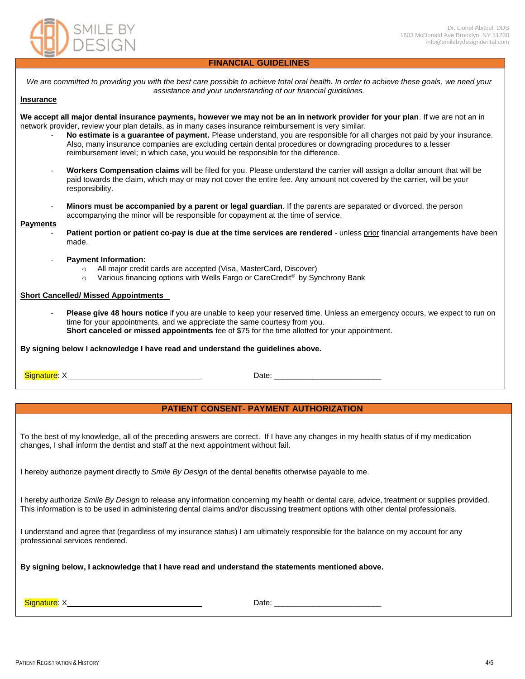

## **FINANCIAL GUIDELINES**

*We are committed to providing you with the best care possible to achieve total oral health. In order to achieve these goals, we need your assistance and your understanding of our financial guidelines.*

## **Insurance**

**We accept all major dental insurance payments, however we may not be an in network provider for your plan**. If we are not an in network provider, review your plan details, as in many cases insurance reimbursement is very similar.

- **No estimate is a guarantee of payment.** Please understand, you are responsible for all charges not paid by your insurance. Also, many insurance companies are excluding certain dental procedures or downgrading procedures to a lesser reimbursement level; in which case, you would be responsible for the difference.
- **Workers Compensation claims** will be filed for you. Please understand the carrier will assign a dollar amount that will be paid towards the claim, which may or may not cover the entire fee. Any amount not covered by the carrier, will be your responsibility.
- **Minors must be accompanied by a parent or legal guardian**. If the parents are separated or divorced, the person accompanying the minor will be responsible for copayment at the time of service.

#### **Payments**

- **Patient portion or patient co-pay is due at the time services are rendered unless prior financial arrangements have been** made.
- **Payment Information:**
	- o All major credit cards are accepted (Visa, MasterCard, Discover)
	- $\circ$  Various financing options with Wells Fargo or CareCredit<sup>®</sup> by Synchrony Bank

## **Short Cancelled/ Missed Appointments**

Please give 48 hours notice if you are unable to keep your reserved time. Unless an emergency occurs, we expect to run on time for your appointments, and we appreciate the same courtesy from you. **Short canceled or missed appointments** fee of \$75 for the time allotted for your appointment.

**By signing below I acknowledge I have read and understand the guidelines above.**

Signature: X Date: \_\_\_\_\_\_\_\_\_\_\_\_\_\_\_\_\_\_\_\_\_\_\_\_\_

## **PATIENT CONSENT- PAYMENT AUTHORIZATION**

To the best of my knowledge, all of the preceding answers are correct. If I have any changes in my health status of if my medication changes, I shall inform the dentist and staff at the next appointment without fail.

I hereby authorize payment directly to *Smile By Design* of the dental benefits otherwise payable to me.

I hereby authorize *Smile By Design* to release any information concerning my health or dental care, advice, treatment or supplies provided. This information is to be used in administering dental claims and/or discussing treatment options with other dental professionals.

I understand and agree that (regardless of my insurance status) I am ultimately responsible for the balance on my account for any professional services rendered.

**By signing below, I acknowledge that I have read and understand the statements mentioned above.**